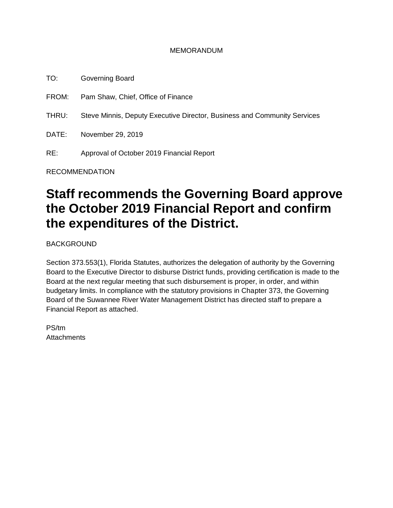#### MEMORANDUM

TO: Governing Board FROM: Pam Shaw, Chief, Office of Finance THRU: Steve Minnis, Deputy Executive Director, Business and Community Services DATE: November 29, 2019 RE: Approval of October 2019 Financial Report

RECOMMENDATION

# **Staff recommends the Governing Board approve the October 2019 Financial Report and confirm the expenditures of the District.**

BACKGROUND

Section 373.553(1), Florida Statutes, authorizes the delegation of authority by the Governing Board to the Executive Director to disburse District funds, providing certification is made to the Board at the next regular meeting that such disbursement is proper, in order, and within budgetary limits. In compliance with the statutory provisions in Chapter 373, the Governing Board of the Suwannee River Water Management District has directed staff to prepare a Financial Report as attached.

PS/tm **Attachments**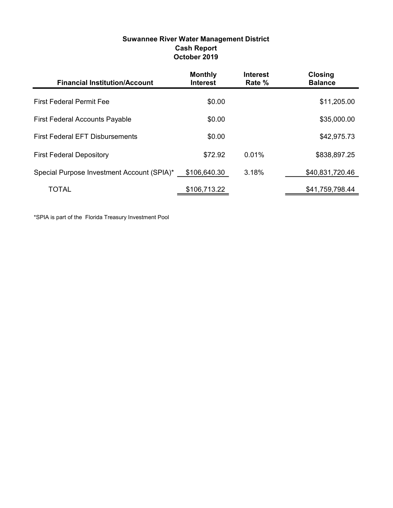| <b>Suwannee River Water Management District</b> |
|-------------------------------------------------|
| <b>Cash Report</b>                              |
| October 2019                                    |

| <b>Financial Institution/Account</b>       | <b>Monthly</b><br><b>Interest</b> | <b>Interest</b><br>Rate % | <b>Closing</b><br><b>Balance</b> |
|--------------------------------------------|-----------------------------------|---------------------------|----------------------------------|
| <b>First Federal Permit Fee</b>            | \$0.00                            |                           | \$11,205.00                      |
| <b>First Federal Accounts Payable</b>      | \$0.00                            |                           | \$35,000.00                      |
| <b>First Federal EFT Disbursements</b>     | \$0.00                            |                           | \$42,975.73                      |
| <b>First Federal Depository</b>            | \$72.92                           | 0.01%                     | \$838,897.25                     |
| Special Purpose Investment Account (SPIA)* | \$106,640.30                      | 3.18%                     | \$40,831,720.46                  |
| TOTAL                                      | \$106,713.22                      |                           | \$41,759,798.44                  |

\*SPIA is part of the Florida Treasury Investment Pool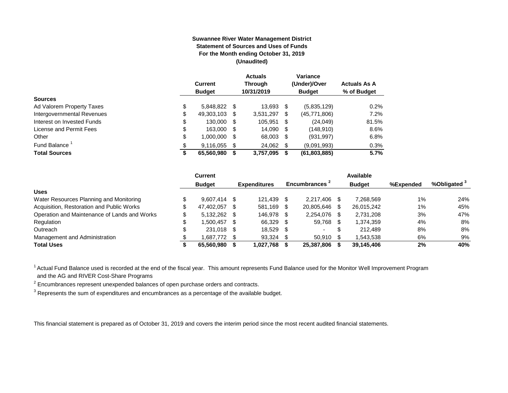#### **Suwannee River Water Management District Statement of Sources and Uses of Funds For the Month ending October 31, 2019 (Unaudited)**

|                                  | Current<br><b>Budget</b> |      | <b>Actuals</b><br><b>Through</b><br>10/31/2019 |      | Variance<br>(Under)/Over<br><b>Budget</b> | <b>Actuals As A</b><br>% of Budget |
|----------------------------------|--------------------------|------|------------------------------------------------|------|-------------------------------------------|------------------------------------|
| <b>Sources</b>                   |                          |      |                                                |      |                                           |                                    |
| \$<br>Ad Valorem Property Taxes  | 5,848,822 \$             |      | 13,693 \$                                      |      | (5,835,129)                               | 0.2%                               |
| Intergovernmental Revenues<br>\$ | 49,303,103               | \$.  | 3,531,297                                      | \$   | (45,771,806)                              | 7.2%                               |
| \$<br>Interest on Invested Funds | 130.000                  | - \$ | 105.951                                        | \$   | (24, 049)                                 | 81.5%                              |
| \$<br>License and Permit Fees    | 163,000                  | - \$ | 14,090                                         | - \$ | (148, 910)                                | 8.6%                               |
| \$<br>Other                      | 1,000,000                | S    | 68,003                                         | \$   | (931, 997)                                | 6.8%                               |
| Fund Balance                     | 9,116,055                | S    | 24,062                                         | -\$  | (9.091.993)                               | 0.3%                               |
| <b>Total Sources</b><br>\$       | 65,560,980               |      | 3,757,095                                      | S    | (61,803,885)                              | 5.7%                               |

|                                              | Current        |      |                     |     |                |     | Available     |           |                         |
|----------------------------------------------|----------------|------|---------------------|-----|----------------|-----|---------------|-----------|-------------------------|
|                                              | <b>Budget</b>  |      | <b>Expenditures</b> |     | Encumbrances 1 |     | <b>Budget</b> | %Expended | %Obligated <sup>3</sup> |
| <b>Uses</b>                                  |                |      |                     |     |                |     |               |           |                         |
| Water Resources Planning and Monitoring      | $9.607.414$ \$ |      | 121.439             |     | 2.217.406      |     | 7.268.569     | $1\%$     | 24%                     |
| Acquisition, Restoration and Public Works    | 47.402.057     | - \$ | 581.169             | - S | 20,805,646     | \$. | 26,015,242    | $1\%$     | 45%                     |
| Operation and Maintenance of Lands and Works | $5.132.262$ \$ |      | 146.978             |     | 2.254.076      | \$  | 2.731.208     | 3%        | 47%                     |
| Regulation                                   | 1.500.457      | - \$ | 66,329              |     | 59,768         |     | 1,374,359     | 4%        | 8%                      |
| Outreach                                     | 231.018 \$     |      | 18.529              |     |                | \$  | 212,489       | 8%        | 8%                      |
| Management and Administration                | 1,687,772 \$   |      | 93,324              |     | 50,910         |     | 1,543,538     | 6%        | 9%                      |
| <b>Total Uses</b>                            | 65,560,980     |      | 1,027,768           |     | 25,387,806     |     | 39,145,406    | 2%        | 40%                     |

<sup>1</sup> Actual Fund Balance used is recorded at the end of the fiscal year. This amount represents Fund Balance used for the Monitor Well Improvement Program and the AG and RIVER Cost-Share Programs

 $2$  Encumbrances represent unexpended balances of open purchase orders and contracts.

 $^3$  Represents the sum of expenditures and encumbrances as a percentage of the available budget.

This financial statement is prepared as of October 31, 2019 and covers the interim period since the most recent audited financial statements.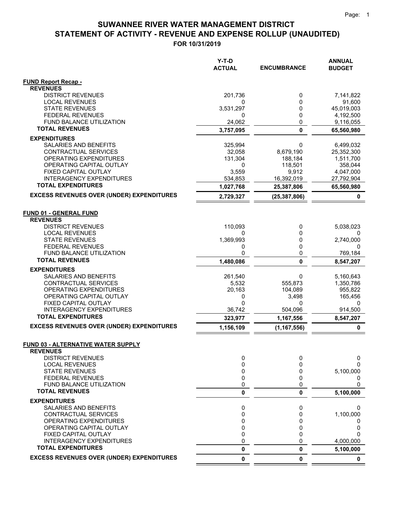$=$   $=$ 

## **STATEMENT OF ACTIVITY - REVENUE AND EXPENSE ROLLUP (UNAUDITED) SUWANNEE RIVER WATER MANAGEMENT DISTRICT**

|                                                              | Y-T-D<br><b>ACTUAL</b> | <b>ENCUMBRANCE</b>  | <b>ANNUAL</b><br><b>BUDGET</b> |
|--------------------------------------------------------------|------------------------|---------------------|--------------------------------|
| <b>FUND Report Recap -</b>                                   |                        |                     |                                |
| <b>REVENUES</b>                                              |                        |                     |                                |
| <b>DISTRICT REVENUES</b>                                     | 201,736                | 0                   | 7,141,822                      |
| <b>LOCAL REVENUES</b><br><b>STATE REVENUES</b>               | 0<br>3,531,297         | 0<br>0              | 91,600<br>45,019,003           |
| <b>FEDERAL REVENUES</b>                                      | 0                      | 0                   | 4,192,500                      |
| FUND BALANCE UTILIZATION                                     | 24,062                 | 0                   | 9,116,055                      |
| <b>TOTAL REVENUES</b>                                        | 3,757,095              | 0                   | 65,560,980                     |
| <b>EXPENDITURES</b>                                          |                        |                     |                                |
| SALARIES AND BENEFITS                                        | 325,994                | 0                   | 6,499,032                      |
| CONTRACTUAL SERVICES                                         | 32,058                 | 8,679,190           | 25,352,300                     |
| OPERATING EXPENDITURES                                       | 131,304                | 188,184             | 1,511,700                      |
| OPERATING CAPITAL OUTLAY                                     | 0                      | 118,501             | 358,044                        |
| FIXED CAPITAL OUTLAY<br><b>INTERAGENCY EXPENDITURES</b>      | 3,559<br>534,853       | 9,912<br>16,392,019 | 4,047,000<br>27,792,904        |
| <b>TOTAL EXPENDITURES</b>                                    | 1,027,768              | 25,387,806          | 65,560,980                     |
| <b>EXCESS REVENUES OVER (UNDER) EXPENDITURES</b>             |                        |                     |                                |
|                                                              | 2,729,327              | (25, 387, 806)      | 0                              |
| <b>FUND 01 - GENERAL FUND</b>                                |                        |                     |                                |
| <b>REVENUES</b><br><b>DISTRICT REVENUES</b>                  | 110,093                | 0                   | 5,038,023                      |
| <b>LOCAL REVENUES</b>                                        | 0                      | 0                   | 0                              |
| <b>STATE REVENUES</b>                                        | 1,369,993              | 0                   | 2,740,000                      |
| <b>FEDERAL REVENUES</b>                                      | 0                      | 0                   | 0                              |
| FUND BALANCE UTILIZATION                                     | 0                      | 0                   | 769,184                        |
| <b>TOTAL REVENUES</b>                                        | 1,480,086              | 0                   | 8,547,207                      |
| <b>EXPENDITURES</b>                                          |                        |                     |                                |
| SALARIES AND BENEFITS<br>CONTRACTUAL SERVICES                | 261,540<br>5,532       | 0<br>555,873        | 5,160,643<br>1,350,786         |
| OPERATING EXPENDITURES                                       | 20,163                 | 104,089             | 955,822                        |
| OPERATING CAPITAL OUTLAY                                     | 0                      | 3,498               | 165,456                        |
| FIXED CAPITAL OUTLAY                                         | 0                      | 0                   | 0                              |
| <b>INTERAGENCY EXPENDITURES</b>                              | 36,742                 | 504,096             | 914,500                        |
| <b>TOTAL EXPENDITURES</b>                                    | 323,977                | 1,167,556           | 8,547,207                      |
| <b>EXCESS REVENUES OVER (UNDER) EXPENDITURES</b>             | 1,156,109              | (1, 167, 556)       | 0                              |
| <b>FUND 03 - ALTERNATIVE WATER SUPPLY</b><br><b>REVENUES</b> |                        |                     |                                |
| <b>DISTRICT REVENUES</b>                                     | 0                      | 0                   | 0                              |
| <b>LOCAL REVENUES</b>                                        | 0                      | 0                   | 0                              |
| <b>STATE REVENUES</b>                                        | 0                      | 0                   | 5,100,000                      |
| <b>FEDERAL REVENUES</b><br>FUND BALANCE UTILIZATION          | 0<br>0                 | 0<br>0              | 0<br>0                         |
| <b>TOTAL REVENUES</b>                                        | 0                      | 0                   | 5,100,000                      |
| <b>EXPENDITURES</b>                                          |                        |                     |                                |
| SALARIES AND BENEFITS                                        | 0                      | 0                   | 0                              |
| CONTRACTUAL SERVICES                                         | 0                      | 0                   | 1,100,000                      |
| OPERATING EXPENDITURES                                       | 0                      | 0                   |                                |
| OPERATING CAPITAL OUTLAY                                     | 0                      | 0                   | 0                              |
| FIXED CAPITAL OUTLAY<br><b>INTERAGENCY EXPENDITURES</b>      | 0                      | $\Omega$<br>0       | n                              |
| <b>TOTAL EXPENDITURES</b>                                    | 0<br>0                 | 0                   | 4,000,000                      |
| <b>EXCESS REVENUES OVER (UNDER) EXPENDITURES</b>             | 0                      | 0                   | 5,100,000<br>0                 |
|                                                              |                        |                     |                                |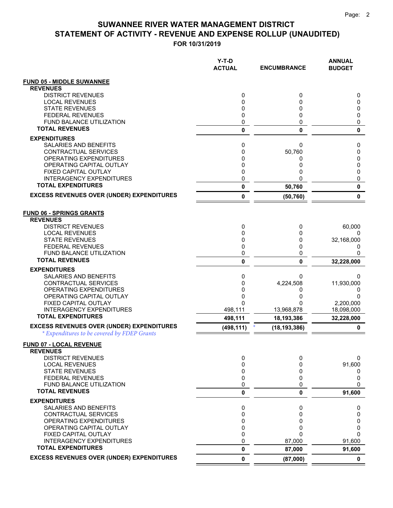|                                                            | Y-T-D<br><b>ACTUAL</b> | <b>ENCUMBRANCE</b>       | <b>ANNUAL</b><br><b>BUDGET</b> |
|------------------------------------------------------------|------------------------|--------------------------|--------------------------------|
| <b>FUND 05 - MIDDLE SUWANNEE</b>                           |                        |                          |                                |
| <b>REVENUES</b>                                            |                        |                          |                                |
| <b>DISTRICT REVENUES</b>                                   | 0                      | 0                        | 0                              |
| <b>LOCAL REVENUES</b>                                      | 0                      | 0                        | 0                              |
| <b>STATE REVENUES</b>                                      | 0                      | 0                        | 0                              |
| <b>FEDERAL REVENUES</b><br><b>FUND BALANCE UTILIZATION</b> | 0<br>0                 | 0<br>0                   | 0<br>0                         |
| <b>TOTAL REVENUES</b>                                      | 0                      | 0                        | $\mathbf{0}$                   |
| <b>EXPENDITURES</b>                                        |                        |                          |                                |
| SALARIES AND BENEFITS                                      | 0                      | 0                        | 0                              |
| <b>CONTRACTUAL SERVICES</b>                                | 0                      | 50,760                   | 0                              |
| OPERATING EXPENDITURES                                     | 0                      | 0                        | 0                              |
| OPERATING CAPITAL OUTLAY                                   | 0                      | 0                        | 0                              |
| FIXED CAPITAL OUTLAY                                       | 0                      | 0                        | 0                              |
| <b>INTERAGENCY EXPENDITURES</b>                            | 0                      | 0                        | 0                              |
| <b>TOTAL EXPENDITURES</b>                                  | 0                      | 50,760                   | $\mathbf{0}$                   |
| <b>EXCESS REVENUES OVER (UNDER) EXPENDITURES</b>           | 0                      | (50, 760)                | $\mathbf{0}$                   |
| <b>FUND 06 - SPRINGS GRANTS</b><br><b>REVENUES</b>         |                        |                          |                                |
| <b>DISTRICT REVENUES</b>                                   | 0                      | 0                        | 60,000                         |
| <b>LOCAL REVENUES</b><br><b>STATE REVENUES</b>             | 0<br>0                 | 0<br>0                   | $\Omega$<br>32,168,000         |
| <b>FEDERAL REVENUES</b>                                    | 0                      | 0                        | 0                              |
| FUND BALANCE UTILIZATION                                   | 0                      | 0                        | 0                              |
| <b>TOTAL REVENUES</b>                                      | 0                      | 0                        | 32,228,000                     |
| <b>EXPENDITURES</b>                                        |                        |                          |                                |
| SALARIES AND BENEFITS                                      | 0                      | 0                        | 0                              |
| CONTRACTUAL SERVICES                                       | 0                      | 4,224,508                | 11,930,000                     |
| OPERATING EXPENDITURES                                     | 0                      | 0                        | 0                              |
| OPERATING CAPITAL OUTLAY                                   | 0                      | 0                        | <sup>0</sup>                   |
| FIXED CAPITAL OUTLAY<br><b>INTERAGENCY EXPENDITURES</b>    | 0                      | 0                        | 2,200,000                      |
| <b>TOTAL EXPENDITURES</b>                                  | 498,111<br>498,111     | 13,968,878<br>18,193,386 | 18,098,000<br>32,228,000       |
| <b>EXCESS REVENUES OVER (UNDER) EXPENDITURES</b>           | (498, 111)             | (18, 193, 386)           | $\mathbf 0$                    |
| * Expenditures to be covered by FDEP Grants                |                        |                          |                                |
| <b>FUND 07 - LOCAL REVENUE</b><br><b>REVENUES</b>          |                        |                          |                                |
| <b>DISTRICT REVENUES</b>                                   | 0                      | 0                        | 0                              |
| <b>LOCAL REVENUES</b>                                      | 0                      | 0                        | 91,600                         |
| <b>STATE REVENUES</b>                                      | 0                      | 0                        | 0                              |
| <b>FEDERAL REVENUES</b>                                    | 0                      | 0                        | 0                              |
| FUND BALANCE UTILIZATION                                   | 0                      | 0                        | $\Omega$                       |
| <b>TOTAL REVENUES</b>                                      | 0                      | 0                        | 91,600                         |
| <b>EXPENDITURES</b>                                        |                        |                          |                                |
| SALARIES AND BENEFITS<br><b>CONTRACTUAL SERVICES</b>       | 0<br>0                 | 0<br>0                   | 0<br>0                         |
| OPERATING EXPENDITURES                                     | 0                      | 0                        | $\mathbf 0$                    |
| OPERATING CAPITAL OUTLAY                                   | 0                      | 0                        | 0                              |
| <b>FIXED CAPITAL OUTLAY</b>                                | 0                      | 0                        | $\Omega$                       |
| <b>INTERAGENCY EXPENDITURES</b>                            | 0                      | 87,000                   | 91,600                         |
| <b>TOTAL EXPENDITURES</b>                                  | 0                      | 87,000                   | 91,600                         |
| <b>EXCESS REVENUES OVER (UNDER) EXPENDITURES</b>           | 0                      | (87,000)                 | 0                              |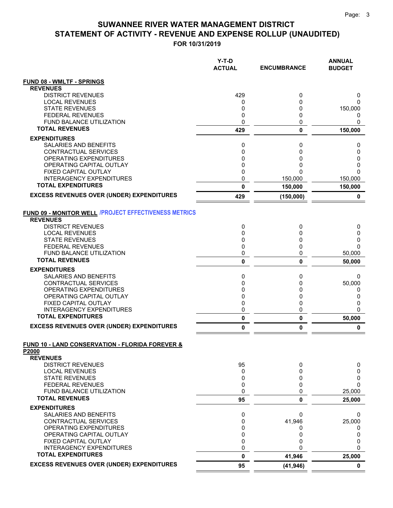|                                                                                 | $Y-T-D$<br><b>ACTUAL</b> | <b>ENCUMBRANCE</b> | <b>ANNUAL</b><br><b>BUDGET</b> |
|---------------------------------------------------------------------------------|--------------------------|--------------------|--------------------------------|
| <b>FUND 08 - WMLTF - SPRINGS</b>                                                |                          |                    |                                |
| <b>REVENUES</b>                                                                 |                          |                    |                                |
| <b>DISTRICT REVENUES</b><br><b>LOCAL REVENUES</b>                               | 429<br>0                 | 0<br>0             | 0<br>0                         |
| <b>STATE REVENUES</b>                                                           | 0                        | 0                  | 150,000                        |
| <b>FEDERAL REVENUES</b>                                                         | 0                        | 0                  | 0                              |
| FUND BALANCE UTILIZATION                                                        | 0                        | 0                  | 0                              |
| <b>TOTAL REVENUES</b>                                                           | 429                      | 0                  | 150,000                        |
| <b>EXPENDITURES</b>                                                             |                          |                    |                                |
| SALARIES AND BENEFITS<br>CONTRACTUAL SERVICES                                   | 0<br>0                   | 0<br>0             | 0<br>0                         |
| OPERATING EXPENDITURES                                                          | 0                        | 0                  | 0                              |
| OPERATING CAPITAL OUTLAY                                                        | 0                        | 0                  | 0                              |
| FIXED CAPITAL OUTLAY                                                            | 0                        | 0                  | $\Omega$                       |
| <b>INTERAGENCY EXPENDITURES</b><br><b>TOTAL EXPENDITURES</b>                    | 0                        | 150,000            | 150,000                        |
|                                                                                 | $\mathbf 0$              | 150,000            | 150,000                        |
| <b>EXCESS REVENUES OVER (UNDER) EXPENDITURES</b>                                | 429                      | (150,000)          | $\pmb{0}$                      |
| FUND 09 - MONITOR WELL / PROJECT EFFECTIVENESS METRICS<br><b>REVENUES</b>       |                          |                    |                                |
| <b>DISTRICT REVENUES</b>                                                        | 0                        | 0                  | 0                              |
| <b>LOCAL REVENUES</b><br><b>STATE REVENUES</b>                                  | 0<br>0                   | 0<br>0             | 0<br>0                         |
| <b>FEDERAL REVENUES</b>                                                         | 0                        | 0                  | $\Omega$                       |
| <b>FUND BALANCE UTILIZATION</b>                                                 | 0                        | 0                  | 50,000                         |
| <b>TOTAL REVENUES</b>                                                           | 0                        | 0                  | 50,000                         |
| <b>EXPENDITURES</b>                                                             |                          |                    |                                |
| SALARIES AND BENEFITS                                                           | 0                        | 0                  | 0                              |
| CONTRACTUAL SERVICES<br>OPERATING EXPENDITURES                                  | 0<br>0                   | 0<br>0             | 50,000<br>0                    |
| OPERATING CAPITAL OUTLAY                                                        | 0                        | 0                  | 0                              |
| <b>FIXED CAPITAL OUTLAY</b>                                                     | 0                        | 0                  | 0                              |
| <b>INTERAGENCY EXPENDITURES</b>                                                 | 0                        | 0                  | $\Omega$                       |
| <b>TOTAL EXPENDITURES</b>                                                       | $\pmb{0}$                | 0                  | 50,000                         |
| <b>EXCESS REVENUES OVER (UNDER) EXPENDITURES</b>                                | $\pmb{0}$                | 0                  | $\mathbf 0$                    |
| <b>FUND 10 - LAND CONSERVATION - FLORIDA FOREVER &amp;</b><br>P <sub>2000</sub> |                          |                    |                                |
| <b>REVENUES</b><br><b>DISTRICT REVENUES</b>                                     | 95                       | 0                  | 0                              |
| <b>LOCAL REVENUES</b>                                                           | 0                        | 0                  | 0                              |
| <b>STATE REVENUES</b>                                                           | 0                        | 0                  | 0                              |
| FEDERAL REVENUES                                                                | 0                        | 0                  | $\Omega$                       |
| FUND BALANCE UTILIZATION<br><b>TOTAL REVENUES</b>                               | 0<br>95                  | 0<br>0             | 25,000                         |
| <b>EXPENDITURES</b>                                                             |                          |                    | 25,000                         |
| <b>SALARIES AND BENEFITS</b>                                                    | 0                        | 0                  | 0                              |
| CONTRACTUAL SERVICES                                                            | 0                        | 41,946             | 25,000                         |
| OPERATING EXPENDITURES                                                          | 0                        | 0                  | 0                              |
| OPERATING CAPITAL OUTLAY                                                        | 0<br>0                   | 0                  | 0                              |
| FIXED CAPITAL OUTLAY<br><b>INTERAGENCY EXPENDITURES</b>                         | 0                        | 0<br>U             | 0<br>$\mathbf{0}$              |
| <b>TOTAL EXPENDITURES</b>                                                       | $\mathbf 0$              | 41,946             | 25,000                         |
| <b>EXCESS REVENUES OVER (UNDER) EXPENDITURES</b>                                | 95                       | (41, 946)          | $\mathbf 0$                    |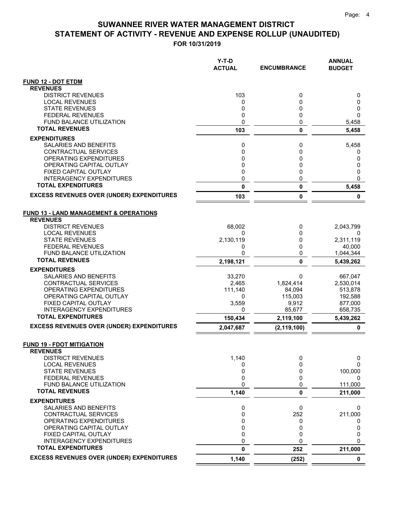|                                                         | Y-T-D<br><b>ACTUAL</b> | <b>ENCUMBRANCE</b> | <b>ANNUAL</b><br><b>BUDGET</b> |
|---------------------------------------------------------|------------------------|--------------------|--------------------------------|
| <b>FUND 12 - DOT ETDM</b>                               |                        |                    |                                |
| <b>REVENUES</b>                                         |                        |                    |                                |
| <b>DISTRICT REVENUES</b>                                | 103                    | 0                  | 0                              |
| <b>LOCAL REVENUES</b>                                   | 0                      | 0<br>0             | 0                              |
| <b>STATE REVENUES</b><br><b>FEDERAL REVENUES</b>        | 0<br>0                 | 0                  | 0<br>$\Omega$                  |
| FUND BALANCE UTILIZATION                                | 0                      | 0                  | 5,458                          |
| <b>TOTAL REVENUES</b>                                   | 103                    | $\mathbf 0$        | 5,458                          |
| <b>EXPENDITURES</b>                                     |                        |                    |                                |
| SALARIES AND BENEFITS                                   | 0                      | 0                  | 5,458                          |
| <b>CONTRACTUAL SERVICES</b>                             | 0                      | $\mathbf{0}$       | 0                              |
| OPERATING EXPENDITURES                                  | 0                      | 0                  | 0                              |
| OPERATING CAPITAL OUTLAY<br><b>FIXED CAPITAL OUTLAY</b> | 0                      | 0<br>0             | 0<br>0                         |
| <b>INTERAGENCY EXPENDITURES</b>                         | 0<br>0                 | 0                  | 0                              |
| <b>TOTAL EXPENDITURES</b>                               | 0                      | $\bf{0}$           | 5,458                          |
| <b>EXCESS REVENUES OVER (UNDER) EXPENDITURES</b>        | 103                    | 0                  | 0                              |
|                                                         |                        |                    |                                |
| <b>FUND 13 - LAND MANAGEMENT &amp; OPERATIONS</b>       |                        |                    |                                |
| <b>REVENUES</b>                                         |                        |                    |                                |
| <b>DISTRICT REVENUES</b>                                | 68,002                 | 0                  | 2,043,799                      |
| <b>LOCAL REVENUES</b>                                   | 0                      | 0                  | 0                              |
| <b>STATE REVENUES</b><br><b>FEDERAL REVENUES</b>        | 2,130,119<br>0         | 0<br>0             | 2,311,119<br>40,000            |
| <b>FUND BALANCE UTILIZATION</b>                         | 0                      | 0                  | 1,044,344                      |
| <b>TOTAL REVENUES</b>                                   | 2,198,121              | 0                  | 5,439,262                      |
| <b>EXPENDITURES</b>                                     |                        |                    |                                |
| SALARIES AND BENEFITS                                   | 33,270                 | 0                  | 667,047                        |
| <b>CONTRACTUAL SERVICES</b>                             | 2,465                  | 1,824,414          | 2,530,014                      |
| OPERATING EXPENDITURES                                  | 111,140                | 84,094             | 513,878                        |
| OPERATING CAPITAL OUTLAY<br>FIXED CAPITAL OUTLAY        | 0<br>3,559             | 115,003<br>9,912   | 192,588<br>877,000             |
| <b>INTERAGENCY EXPENDITURES</b>                         | 0                      | 85,677             | 658,735                        |
| <b>TOTAL EXPENDITURES</b>                               | 150,434                | 2,119,100          | 5,439,262                      |
| <b>EXCESS REVENUES OVER (UNDER) EXPENDITURES</b>        | 2,047,687              | (2, 119, 100)      | 0                              |
|                                                         |                        |                    |                                |
| <b>FUND 19 - FDOT MITIGATION</b>                        |                        |                    |                                |
| <b>REVENUES</b><br><b>DISTRICT REVENUES</b>             | 1,140                  | 0                  | 0                              |
| <b>LOCAL REVENUES</b>                                   | 0                      | 0                  | 0                              |
| <b>STATE REVENUES</b>                                   | 0                      | 0                  | 100,000                        |
| <b>FEDERAL REVENUES</b>                                 | 0                      | 0                  | 0                              |
| FUND BALANCE UTILIZATION                                | 0                      | 0                  | 111,000                        |
| <b>TOTAL REVENUES</b>                                   | 1,140                  | 0                  | 211,000                        |
| <b>EXPENDITURES</b>                                     |                        |                    |                                |
| <b>SALARIES AND BENEFITS</b><br>CONTRACTUAL SERVICES    | 0<br>0                 | 0<br>252           | 0<br>211,000                   |
| OPERATING EXPENDITURES                                  | 0                      | 0                  | 0                              |
| OPERATING CAPITAL OUTLAY                                | 0                      | 0                  | 0                              |
| FIXED CAPITAL OUTLAY                                    | 0                      | 0                  | 0                              |
| <b>INTERAGENCY EXPENDITURES</b>                         | 0                      | 0                  | 0                              |
| <b>TOTAL EXPENDITURES</b>                               | 0                      | 252                | 211,000                        |
| <b>EXCESS REVENUES OVER (UNDER) EXPENDITURES</b>        | 1,140                  | (252)              | $\mathbf 0$                    |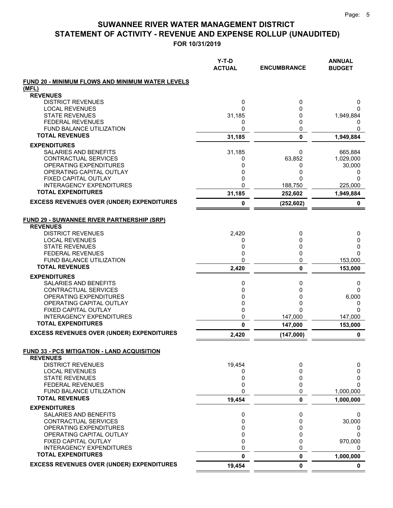|                                                                | $Y-T-D$<br><b>ACTUAL</b> | <b>ENCUMBRANCE</b> | <b>ANNUAL</b><br><b>BUDGET</b> |
|----------------------------------------------------------------|--------------------------|--------------------|--------------------------------|
| <b>FUND 20 - MINIMUM FLOWS AND MINIMUM WATER LEVELS</b>        |                          |                    |                                |
| (MFL)                                                          |                          |                    |                                |
| <b>REVENUES</b>                                                |                          |                    |                                |
| <b>DISTRICT REVENUES</b><br><b>LOCAL REVENUES</b>              | 0<br>0                   | 0<br>0             | 0<br>$\Omega$                  |
| <b>STATE REVENUES</b>                                          | 31,185                   | 0                  | 1,949,884                      |
| <b>FEDERAL REVENUES</b>                                        | 0                        | 0                  | 0                              |
| FUND BALANCE UTILIZATION                                       | 0                        | 0                  | 0                              |
| <b>TOTAL REVENUES</b>                                          | 31,185                   | $\mathbf 0$        | 1,949,884                      |
| <b>EXPENDITURES</b>                                            |                          |                    |                                |
| SALARIES AND BENEFITS                                          | 31,185                   | 0                  | 665,884                        |
| CONTRACTUAL SERVICES                                           | 0                        | 63,852             | 1,029,000                      |
| OPERATING EXPENDITURES                                         | 0                        | 0                  | 30,000                         |
| OPERATING CAPITAL OUTLAY<br><b>FIXED CAPITAL OUTLAY</b>        | 0<br>0                   | 0<br>0             | 0<br>0                         |
| <b>INTERAGENCY EXPENDITURES</b>                                | 0                        | 188,750            | 225,000                        |
| <b>TOTAL EXPENDITURES</b>                                      | 31,185                   | 252,602            | 1,949,884                      |
| <b>EXCESS REVENUES OVER (UNDER) EXPENDITURES</b>               |                          |                    |                                |
|                                                                | 0                        | (252, 602)         | 0                              |
| <b>FUND 29 - SUWANNEE RIVER PARTNERSHIP (SRP)</b>              |                          |                    |                                |
| <b>REVENUES</b>                                                |                          |                    |                                |
| <b>DISTRICT REVENUES</b>                                       | 2,420                    | 0                  | 0                              |
| <b>LOCAL REVENUES</b><br><b>STATE REVENUES</b>                 | 0<br>0                   | 0<br>0             | 0<br>0                         |
| <b>FEDERAL REVENUES</b>                                        | 0                        | 0                  | 0                              |
| <b>FUND BALANCE UTILIZATION</b>                                | 0                        | 0                  | 153,000                        |
| <b>TOTAL REVENUES</b>                                          | 2,420                    | 0                  | 153,000                        |
| <b>EXPENDITURES</b>                                            |                          |                    |                                |
| SALARIES AND BENEFITS                                          | 0                        | 0                  | 0                              |
| CONTRACTUAL SERVICES                                           | 0                        | 0                  | 0                              |
| OPERATING EXPENDITURES                                         | 0                        | 0                  | 6,000                          |
| OPERATING CAPITAL OUTLAY<br>FIXED CAPITAL OUTLAY               | 0<br>0                   | 0<br>0             | 0<br>0                         |
| <b>INTERAGENCY EXPENDITURES</b>                                | 0                        | 147,000            | 147,000                        |
| <b>TOTAL EXPENDITURES</b>                                      | 0                        | 147,000            | 153,000                        |
| <b>EXCESS REVENUES OVER (UNDER) EXPENDITURES</b>               | 2,420                    | (147,000)          | 0                              |
|                                                                |                          |                    |                                |
| FUND 33 - PCS MITIGATION - LAND ACQUISITION<br><b>REVENUES</b> |                          |                    |                                |
| <b>DISTRICT REVENUES</b>                                       | 19,454                   | 0                  | 0                              |
| <b>LOCAL REVENUES</b>                                          | 0                        | 0                  | 0                              |
| <b>STATE REVENUES</b>                                          | 0                        | 0                  | 0                              |
| <b>FEDERAL REVENUES</b>                                        | 0                        | 0                  | 0                              |
| FUND BALANCE UTILIZATION                                       | 0                        | 0                  | 1,000,000                      |
| <b>TOTAL REVENUES</b>                                          | 19,454                   | 0                  | 1,000,000                      |
| <b>EXPENDITURES</b>                                            |                          |                    |                                |
| <b>SALARIES AND BENEFITS</b>                                   | 0                        | 0                  | 0                              |
| CONTRACTUAL SERVICES<br>OPERATING EXPENDITURES                 | 0<br>0                   | 0<br>0             | 30,000<br>0                    |
| OPERATING CAPITAL OUTLAY                                       | 0                        | 0                  | $\Omega$                       |
| FIXED CAPITAL OUTLAY                                           | 0                        | 0                  | 970,000                        |
| <b>INTERAGENCY EXPENDITURES</b>                                | 0                        | 0                  | 0                              |
| <b>TOTAL EXPENDITURES</b>                                      | 0                        | 0                  | 1,000,000                      |
| <b>EXCESS REVENUES OVER (UNDER) EXPENDITURES</b>               | 19,454                   | 0                  | $\mathbf 0$                    |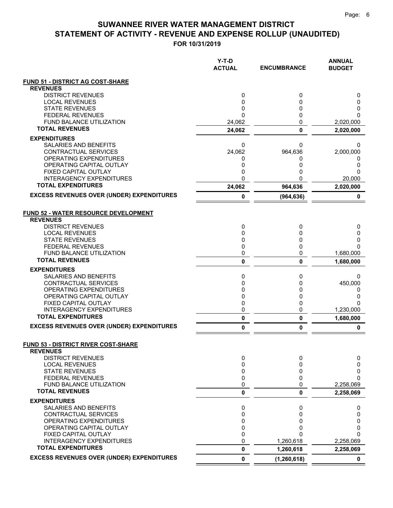|                                                   | Y-T-D<br><b>ACTUAL</b> | <b>ENCUMBRANCE</b> | <b>ANNUAL</b><br><b>BUDGET</b> |
|---------------------------------------------------|------------------------|--------------------|--------------------------------|
| <b>FUND 51 - DISTRICT AG COST-SHARE</b>           |                        |                    |                                |
| <b>REVENUES</b>                                   |                        |                    |                                |
| <b>DISTRICT REVENUES</b>                          | 0                      | 0                  | 0                              |
| <b>LOCAL REVENUES</b>                             | 0                      | 0                  | 0                              |
| <b>STATE REVENUES</b><br><b>FEDERAL REVENUES</b>  | 0<br>0                 | 0<br>0             | 0<br>$\Omega$                  |
| FUND BALANCE UTILIZATION                          | 24,062                 | 0                  | 2,020,000                      |
| <b>TOTAL REVENUES</b>                             | 24,062                 | 0                  | 2,020,000                      |
| <b>EXPENDITURES</b>                               |                        |                    |                                |
| SALARIES AND BENEFITS                             | 0                      | 0                  | 0                              |
| CONTRACTUAL SERVICES                              | 24,062                 | 964,636            | 2,000,000                      |
| OPERATING EXPENDITURES                            | 0                      | 0                  | 0                              |
| OPERATING CAPITAL OUTLAY                          | 0                      | 0                  | 0                              |
| FIXED CAPITAL OUTLAY                              | 0                      | 0                  | 0                              |
| <b>INTERAGENCY EXPENDITURES</b>                   | 0                      | 0                  | 20,000                         |
| <b>TOTAL EXPENDITURES</b>                         | 24,062                 | 964,636            | 2,020,000                      |
| <b>EXCESS REVENUES OVER (UNDER) EXPENDITURES</b>  | 0                      | (964, 636)         | 0                              |
| <b>FUND 52 - WATER RESOURCE DEVELOPMENT</b>       |                        |                    |                                |
| <b>REVENUES</b><br><b>DISTRICT REVENUES</b>       | 0                      |                    |                                |
| <b>LOCAL REVENUES</b>                             | 0                      | 0<br>0             | 0<br>0                         |
| <b>STATE REVENUES</b>                             | 0                      | 0                  | 0                              |
| <b>FEDERAL REVENUES</b>                           | 0                      | 0                  | 0                              |
| <b>FUND BALANCE UTILIZATION</b>                   | 0                      | 0                  | 1,680,000                      |
| <b>TOTAL REVENUES</b>                             | 0                      | 0                  | 1,680,000                      |
| <b>EXPENDITURES</b>                               |                        |                    |                                |
| SALARIES AND BENEFITS                             | 0                      | 0                  | 0                              |
| CONTRACTUAL SERVICES                              | 0                      | 0                  | 450,000                        |
| OPERATING EXPENDITURES                            | 0                      | 0                  | 0                              |
| OPERATING CAPITAL OUTLAY<br>FIXED CAPITAL OUTLAY  | 0<br>0                 | 0<br>0             | 0<br>0                         |
| <b>INTERAGENCY EXPENDITURES</b>                   | 0                      | 0                  | 1,230,000                      |
| <b>TOTAL EXPENDITURES</b>                         | 0                      | 0                  | 1,680,000                      |
| <b>EXCESS REVENUES OVER (UNDER) EXPENDITURES</b>  | 0                      | 0                  | 0                              |
| <b>FUND 53 - DISTRICT RIVER COST-SHARE</b>        |                        |                    |                                |
| <b>REVENUES</b>                                   |                        |                    |                                |
| <b>DISTRICT REVENUES</b>                          | 0                      | 0                  | 0                              |
| <b>LOCAL REVENUES</b>                             | 0                      | 0                  | 0                              |
| <b>STATE REVENUES</b>                             | 0                      | 0                  | 0                              |
| <b>FEDERAL REVENUES</b>                           | 0                      | 0                  | $\Omega$                       |
| FUND BALANCE UTILIZATION<br><b>TOTAL REVENUES</b> | 0<br>0                 | 0<br>0             | 2,258,069<br>2,258,069         |
| <b>EXPENDITURES</b>                               |                        |                    |                                |
| SALARIES AND BENEFITS                             | 0                      | 0                  | 0                              |
| CONTRACTUAL SERVICES                              | 0                      | 0                  | 0                              |
| OPERATING EXPENDITURES                            | 0                      | 0                  | 0                              |
| OPERATING CAPITAL OUTLAY                          | 0                      | 0                  | 0                              |
| FIXED CAPITAL OUTLAY                              | 0                      | 0                  | $\Omega$                       |
| <b>INTERAGENCY EXPENDITURES</b>                   | $\mathbf 0$            | 1,260,618          | 2,258,069                      |
| <b>TOTAL EXPENDITURES</b>                         | 0                      | 1,260,618          | 2,258,069                      |
| <b>EXCESS REVENUES OVER (UNDER) EXPENDITURES</b>  | $\mathbf{0}$           | (1, 260, 618)      | $\mathbf 0$                    |